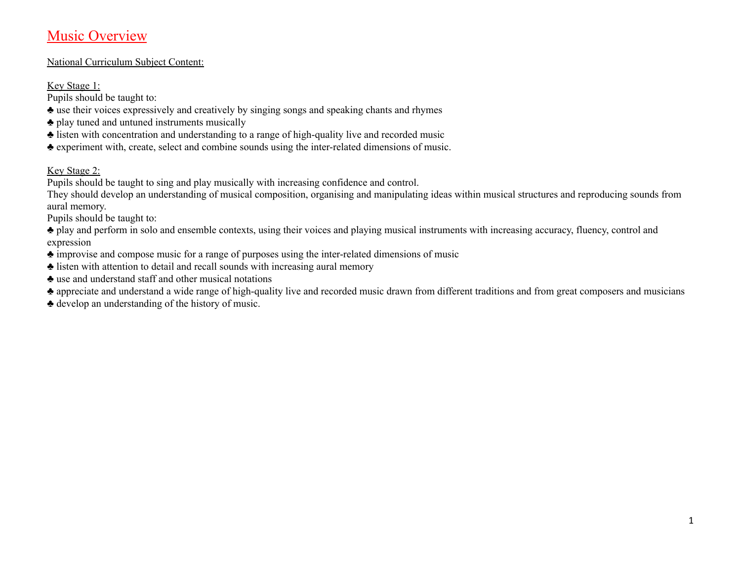# Music Overview

## National Curriculum Subject Content:

# Key Stage 1:

Pupils should be taught to:

- ♣ use their voices expressively and creatively by singing songs and speaking chants and rhymes
- ♣ play tuned and untuned instruments musically
- ♣ listen with concentration and understanding to a range of high-quality live and recorded music
- ♣ experiment with, create, select and combine sounds using the inter-related dimensions of music.

## Key Stage 2:

Pupils should be taught to sing and play musically with increasing confidence and control.

They should develop an understanding of musical composition, organising and manipulating ideas within musical structures and reproducing sounds from aural memory.

Pupils should be taught to:

♣ play and perform in solo and ensemble contexts, using their voices and playing musical instruments with increasing accuracy, fluency, control and expression

- ♣ improvise and compose music for a range of purposes using the inter-related dimensions of music
- ♣ listen with attention to detail and recall sounds with increasing aural memory
- ♣ use and understand staff and other musical notations
- ♣ appreciate and understand a wide range of high-quality live and recorded music drawn from different traditions and from great composers and musicians
- ♣ develop an understanding of the history of music.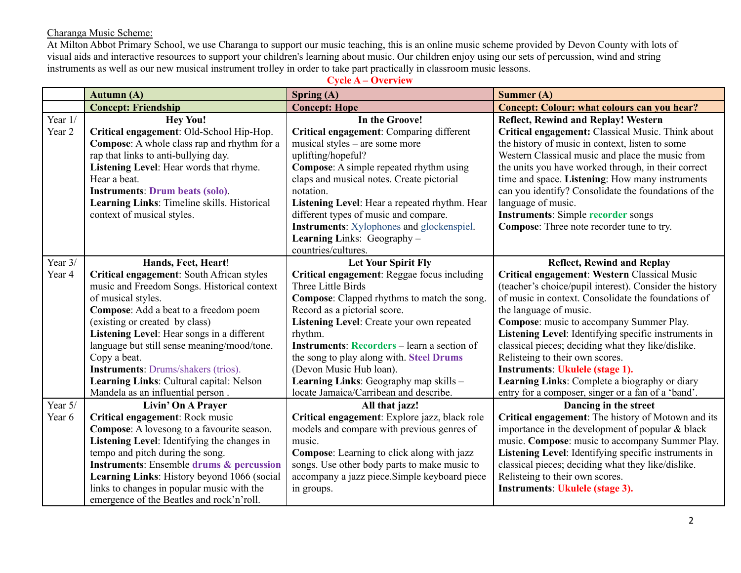#### Charanga Music Scheme:

At Milton Abbot Primary School, we use Charanga to support our music teaching, this is an online music scheme provided by Devon County with lots of visual aids and interactive resources to support your children's learning about music. Our children enjoy using our sets of percussion, wind and string instruments as well as our new musical instrument trolley in order to take part practically in classroom music lessons.

| <b>Cycle A – Overview</b> |                                                     |                                                    |                                                         |  |  |
|---------------------------|-----------------------------------------------------|----------------------------------------------------|---------------------------------------------------------|--|--|
|                           | Autumn (A)                                          | Spring $(A)$                                       | Summer (A)                                              |  |  |
|                           | <b>Concept: Friendship</b>                          | <b>Concept: Hope</b>                               | <b>Concept: Colour: what colours can you hear?</b>      |  |  |
| Year $1/$                 | <b>Hey You!</b>                                     | In the Groove!                                     | <b>Reflect, Rewind and Replay! Western</b>              |  |  |
| Year 2                    | Critical engagement: Old-School Hip-Hop.            | Critical engagement: Comparing different           | Critical engagement: Classical Music. Think about       |  |  |
|                           | Compose: A whole class rap and rhythm for a         | musical styles – are some more                     | the history of music in context, listen to some         |  |  |
|                           | rap that links to anti-bullying day.                | uplifting/hopeful?                                 | Western Classical music and place the music from        |  |  |
|                           | Listening Level: Hear words that rhyme.             | Compose: A simple repeated rhythm using            | the units you have worked through, in their correct     |  |  |
|                           | Hear a beat.                                        | claps and musical notes. Create pictorial          | time and space. Listening: How many instruments         |  |  |
|                           | <b>Instruments: Drum beats (solo).</b>              | notation.                                          | can you identify? Consolidate the foundations of the    |  |  |
|                           | Learning Links: Timeline skills. Historical         | Listening Level: Hear a repeated rhythm. Hear      | language of music.                                      |  |  |
|                           | context of musical styles.                          | different types of music and compare.              | <b>Instruments: Simple recorder songs</b>               |  |  |
|                           |                                                     | <b>Instruments:</b> Xylophones and glockenspiel.   | Compose: Three note recorder tune to try.               |  |  |
|                           |                                                     | Learning Links: Geography -                        |                                                         |  |  |
|                           |                                                     | countries/cultures.                                |                                                         |  |  |
| Year $3/$                 | Hands, Feet, Heart!                                 | <b>Let Your Spirit Fly</b>                         | <b>Reflect, Rewind and Replay</b>                       |  |  |
| Year 4                    | Critical engagement: South African styles           | Critical engagement: Reggae focus including        | Critical engagement: Western Classical Music            |  |  |
|                           | music and Freedom Songs. Historical context         | Three Little Birds                                 | (teacher's choice/pupil interest). Consider the history |  |  |
|                           | of musical styles.                                  | <b>Compose:</b> Clapped rhythms to match the song. | of music in context. Consolidate the foundations of     |  |  |
|                           | Compose: Add a beat to a freedom poem               | Record as a pictorial score.                       | the language of music.                                  |  |  |
|                           | (existing or created by class)                      | Listening Level: Create your own repeated          | Compose: music to accompany Summer Play.                |  |  |
|                           | Listening Level: Hear songs in a different          | rhythm.                                            | Listening Level: Identifying specific instruments in    |  |  |
|                           | language but still sense meaning/mood/tone.         | <b>Instruments: Recorders</b> – learn a section of | classical pieces; deciding what they like/dislike.      |  |  |
|                           | Copy a beat.                                        | the song to play along with. Steel Drums           | Relisteing to their own scores.                         |  |  |
|                           | <b>Instruments: Drums/shakers (trios).</b>          | (Devon Music Hub loan).                            | <b>Instruments: Ukulele (stage 1).</b>                  |  |  |
|                           | Learning Links: Cultural capital: Nelson            | Learning Links: Geography map skills -             | Learning Links: Complete a biography or diary           |  |  |
|                           | Mandela as an influential person.                   | locate Jamaica/Carribean and describe.             | entry for a composer, singer or a fan of a 'band'.      |  |  |
| Year 5/                   | Livin' On A Prayer                                  | All that jazz!                                     | Dancing in the street                                   |  |  |
| Year 6                    | Critical engagement: Rock music                     | Critical engagement: Explore jazz, black role      | Critical engagement: The history of Motown and its      |  |  |
|                           | Compose: A lovesong to a favourite season.          | models and compare with previous genres of         | importance in the development of popular $& black$      |  |  |
|                           | Listening Level: Identifying the changes in         | music.                                             | music. Compose: music to accompany Summer Play.         |  |  |
|                           | tempo and pitch during the song.                    | <b>Compose:</b> Learning to click along with jazz  | Listening Level: Identifying specific instruments in    |  |  |
|                           | <b>Instruments: Ensemble drums &amp; percussion</b> | songs. Use other body parts to make music to       | classical pieces; deciding what they like/dislike.      |  |  |
|                           | Learning Links: History beyond 1066 (social         | accompany a jazz piece. Simple keyboard piece      | Relisteing to their own scores.                         |  |  |
|                           | links to changes in popular music with the          | in groups.                                         | <b>Instruments: Ukulele (stage 3).</b>                  |  |  |
|                           | emergence of the Beatles and rock'n'roll.           |                                                    |                                                         |  |  |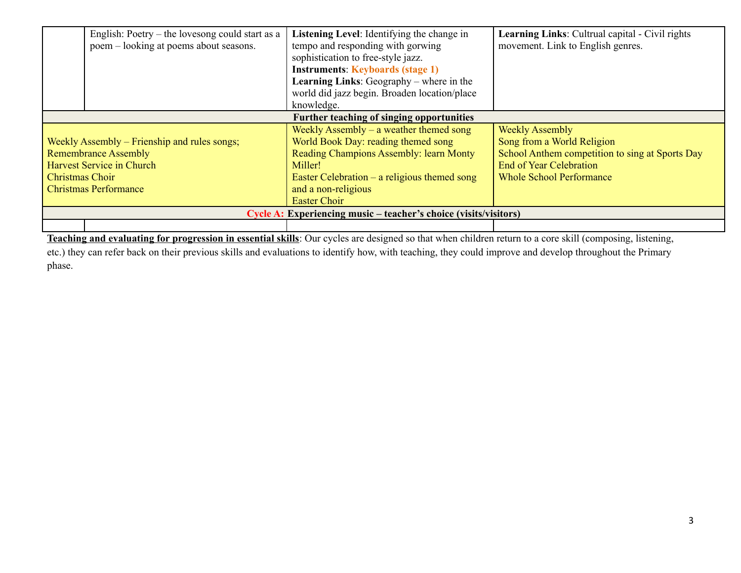| English: Poetry – the lovesong could start as a |                                                                  | Listening Level: Identifying the change in      | Learning Links: Cultrual capital - Civil rights |  |  |
|-------------------------------------------------|------------------------------------------------------------------|-------------------------------------------------|-------------------------------------------------|--|--|
| poem – looking at poems about seasons.          |                                                                  | tempo and responding with gorwing               | movement. Link to English genres.               |  |  |
|                                                 |                                                                  | sophistication to free-style jazz.              |                                                 |  |  |
|                                                 |                                                                  | <b>Instruments: Keyboards (stage 1)</b>         |                                                 |  |  |
|                                                 |                                                                  | <b>Learning Links:</b> Geography – where in the |                                                 |  |  |
|                                                 |                                                                  | world did jazz begin. Broaden location/place    |                                                 |  |  |
|                                                 |                                                                  | knowledge.                                      |                                                 |  |  |
| Further teaching of singing opportunities       |                                                                  |                                                 |                                                 |  |  |
|                                                 |                                                                  | Weekly Assembly $-$ a weather themed song       | <b>Weekly Assembly</b>                          |  |  |
| Weekly Assembly – Frienship and rules songs;    |                                                                  | World Book Day: reading themed song             | Song from a World Religion                      |  |  |
| <b>Remembrance Assembly</b>                     |                                                                  | Reading Champions Assembly: learn Monty         | School Anthem competition to sing at Sports Day |  |  |
|                                                 | <b>Harvest Service in Church</b>                                 | Miller!                                         | <b>End of Year Celebration</b>                  |  |  |
| Christmas Choir                                 |                                                                  | Easter Celebration $-$ a religious themed song  | <b>Whole School Performance</b>                 |  |  |
| <b>Christmas Performance</b>                    |                                                                  | and a non-religious                             |                                                 |  |  |
|                                                 |                                                                  | <b>Easter Choir</b>                             |                                                 |  |  |
|                                                 | Cycle A: Experiencing music – teacher's choice (visits/visitors) |                                                 |                                                 |  |  |
|                                                 |                                                                  |                                                 |                                                 |  |  |

**Teaching and evaluating for progression in essential skills**: Our cycles are designed so that when children return to a core skill (composing, listening, etc.) they can refer back on their previous skills and evaluations to identify how, with teaching, they could improve and develop throughout the Primary phase.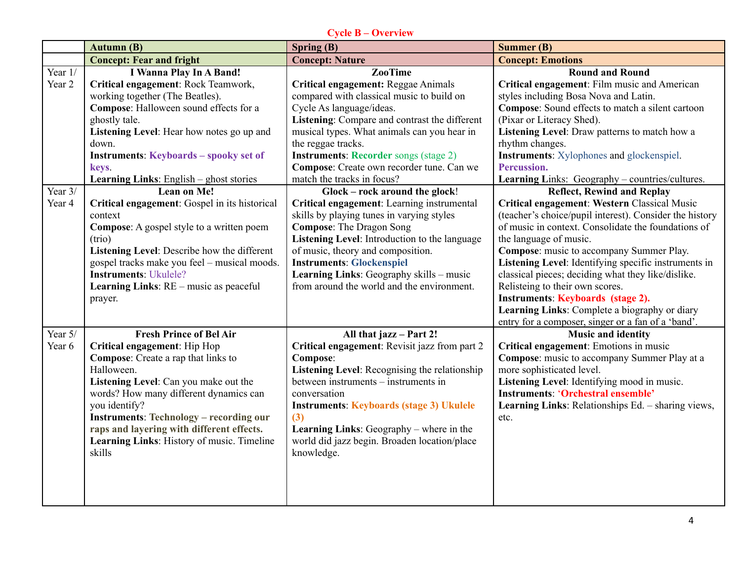## **Cycle B – Overview**

|                   | <b>Autumn (B)</b>                                                       | <b>Spring (B)</b>                                                                                                         | <b>Summer (B)</b>                                                                                                                            |  |
|-------------------|-------------------------------------------------------------------------|---------------------------------------------------------------------------------------------------------------------------|----------------------------------------------------------------------------------------------------------------------------------------------|--|
|                   | <b>Concept: Fear and fright</b>                                         | <b>Concept: Nature</b>                                                                                                    | <b>Concept: Emotions</b>                                                                                                                     |  |
| Year 1/<br>Year 2 | <b>I Wanna Play In A Band!</b><br>Critical engagement: Rock Teamwork,   | <b>ZooTime</b>                                                                                                            | <b>Round and Round</b><br>Critical engagement: Film music and American                                                                       |  |
|                   | working together (The Beatles).                                         | Critical engagement: Reggae Animals<br>compared with classical music to build on                                          | styles including Bosa Nova and Latin.                                                                                                        |  |
|                   | Compose: Halloween sound effects for a                                  | Cycle As language/ideas.                                                                                                  | Compose: Sound effects to match a silent cartoon                                                                                             |  |
|                   | ghostly tale.                                                           | Listening: Compare and contrast the different                                                                             | (Pixar or Literacy Shed).                                                                                                                    |  |
|                   | Listening Level: Hear how notes go up and                               | musical types. What animals can you hear in                                                                               | Listening Level: Draw patterns to match how a                                                                                                |  |
|                   | down.                                                                   | the reggae tracks.                                                                                                        | rhythm changes.                                                                                                                              |  |
|                   | <b>Instruments: Keyboards - spooky set of</b>                           | <b>Instruments: Recorder songs (stage 2)</b>                                                                              | <b>Instruments:</b> Xylophones and glockenspiel.                                                                                             |  |
|                   | keys.                                                                   | Compose: Create own recorder tune. Can we                                                                                 | Percussion.                                                                                                                                  |  |
|                   | Learning Links: English - ghost stories                                 | match the tracks in focus?                                                                                                | Learning Links: Geography - countries/cultures.                                                                                              |  |
| Year 3/<br>Year 4 | Lean on Me!<br>Critical engagement: Gospel in its historical<br>context | Glock - rock around the glock!<br>Critical engagement: Learning instrumental<br>skills by playing tunes in varying styles | <b>Reflect, Rewind and Replay</b><br>Critical engagement: Western Classical Music<br>(teacher's choice/pupil interest). Consider the history |  |
|                   | Compose: A gospel style to a written poem                               | <b>Compose:</b> The Dragon Song                                                                                           | of music in context. Consolidate the foundations of                                                                                          |  |
|                   | (trio)                                                                  | Listening Level: Introduction to the language                                                                             | the language of music.                                                                                                                       |  |
|                   | Listening Level: Describe how the different                             | of music, theory and composition.                                                                                         | Compose: music to accompany Summer Play.                                                                                                     |  |
|                   | gospel tracks make you feel - musical moods.                            | <b>Instruments: Glockenspiel</b>                                                                                          | Listening Level: Identifying specific instruments in                                                                                         |  |
|                   | <b>Instruments: Ukulele?</b>                                            | Learning Links: Geography skills - music                                                                                  | classical pieces; deciding what they like/dislike.                                                                                           |  |
|                   | Learning Links: RE - music as peaceful                                  | from around the world and the environment.                                                                                | Relisteing to their own scores.                                                                                                              |  |
|                   | prayer.                                                                 |                                                                                                                           | <b>Instruments: Keyboards (stage 2).</b>                                                                                                     |  |
|                   |                                                                         |                                                                                                                           | Learning Links: Complete a biography or diary                                                                                                |  |
| Year 5/           | <b>Fresh Prince of Bel Air</b>                                          | All that jazz - Part 2!                                                                                                   | entry for a composer, singer or a fan of a 'band'.<br><b>Music and identity</b>                                                              |  |
| Year 6            | Critical engagement: Hip Hop                                            | Critical engagement: Revisit jazz from part 2                                                                             | Critical engagement: Emotions in music                                                                                                       |  |
|                   | Compose: Create a rap that links to                                     | Compose:                                                                                                                  | Compose: music to accompany Summer Play at a                                                                                                 |  |
|                   | Halloween.                                                              | Listening Level: Recognising the relationship                                                                             | more sophisticated level.                                                                                                                    |  |
|                   | Listening Level: Can you make out the                                   | between instruments – instruments in                                                                                      | Listening Level: Identifying mood in music.                                                                                                  |  |
|                   | words? How many different dynamics can                                  | conversation                                                                                                              | <b>Instruments: 'Orchestral ensemble'</b>                                                                                                    |  |
|                   | you identify?                                                           | <b>Instruments: Keyboards (stage 3) Ukulele</b>                                                                           | Learning Links: Relationships Ed. - sharing views,                                                                                           |  |
|                   | <b>Instruments: Technology - recording our</b>                          | (3)                                                                                                                       | etc.                                                                                                                                         |  |
|                   | raps and layering with different effects.                               | <b>Learning Links:</b> Geography – where in the                                                                           |                                                                                                                                              |  |
|                   | Learning Links: History of music. Timeline                              | world did jazz begin. Broaden location/place                                                                              |                                                                                                                                              |  |
|                   | skills                                                                  | knowledge.                                                                                                                |                                                                                                                                              |  |
|                   |                                                                         |                                                                                                                           |                                                                                                                                              |  |
|                   |                                                                         |                                                                                                                           |                                                                                                                                              |  |
|                   |                                                                         |                                                                                                                           |                                                                                                                                              |  |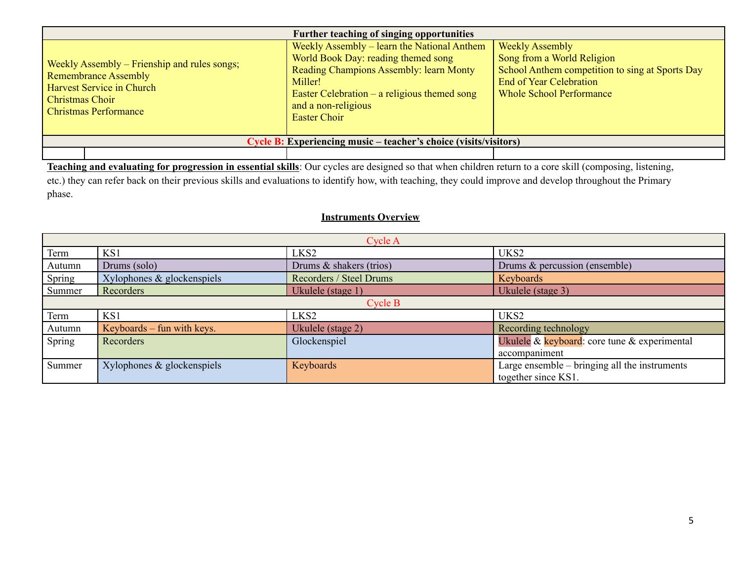| Further teaching of singing opportunities                                                                                                                          |                                                                                                                                                                                                                                   |                                                                                                                                                                              |  |  |
|--------------------------------------------------------------------------------------------------------------------------------------------------------------------|-----------------------------------------------------------------------------------------------------------------------------------------------------------------------------------------------------------------------------------|------------------------------------------------------------------------------------------------------------------------------------------------------------------------------|--|--|
| Weekly Assembly – Frienship and rules songs;<br><b>Remembrance Assembly</b><br><b>Harvest Service in Church</b><br><b>Christmas Choir</b><br>Christmas Performance | Weekly Assembly – learn the National Anthem<br>World Book Day: reading themed song<br>Reading Champions Assembly: learn Monty<br>Miller!<br>Easter Celebration $-$ a religious themed song<br>and a non-religious<br>Easter Choir | <b>Weekly Assembly</b><br>Song from a World Religion<br>School Anthem competition to sing at Sports Day<br><b>End of Year Celebration</b><br><b>Whole School Performance</b> |  |  |
| Cycle B: Experiencing music – teacher's choice (visits/visitors)                                                                                                   |                                                                                                                                                                                                                                   |                                                                                                                                                                              |  |  |
|                                                                                                                                                                    |                                                                                                                                                                                                                                   |                                                                                                                                                                              |  |  |

**Teaching and evaluating for progression in essential skills**: Our cycles are designed so that when children return to a core skill (composing, listening, etc.) they can refer back on their previous skills and evaluations to identify how, with teaching, they could improve and develop throughout the Primary phase.

# **Instruments Overview**

| Cycle A                                                       |                               |                         |                                               |  |  |
|---------------------------------------------------------------|-------------------------------|-------------------------|-----------------------------------------------|--|--|
| Term                                                          | KS1                           | LKS <sub>2</sub>        | UKS2                                          |  |  |
| Autumn                                                        | Drums (solo)                  | Drums & shakers (trios) | Drums & percussion (ensemble)                 |  |  |
| Spring                                                        | Xylophones $\&$ glockenspiels | Recorders / Steel Drums | Keyboards                                     |  |  |
| Recorders<br>Ukulele (stage 3)<br>Summer<br>Ukulele (stage 1) |                               |                         |                                               |  |  |
|                                                               |                               | Cycle B                 |                                               |  |  |
| Term                                                          | KS1                           | LKS <sub>2</sub>        | UKS2                                          |  |  |
| Autumn                                                        | Keyboards – fun with keys.    | Ukulele (stage 2)       | Recording technology                          |  |  |
| Spring                                                        | Recorders                     | Glockenspiel            | Ukulele & keyboard: core tune & experimental  |  |  |
| accompaniment                                                 |                               |                         |                                               |  |  |
| Summer                                                        | Xylophones & glockenspiels    | Keyboards               | Large ensemble – bringing all the instruments |  |  |
|                                                               |                               |                         | together since KS1.                           |  |  |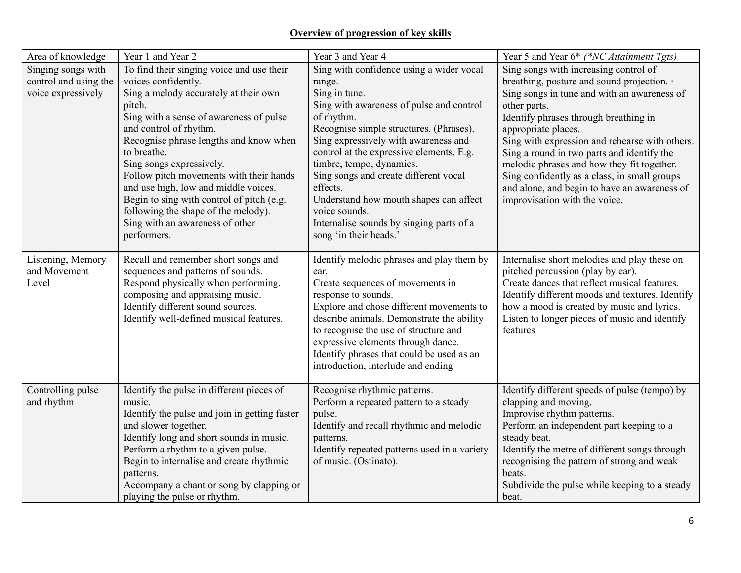## **Overview of progression of key skills**

| Area of knowledge     | Year 1 and Year 2                             | Year 3 and Year 4                            | Year 5 and Year 6* (*NC Attainment Tgts)                  |
|-----------------------|-----------------------------------------------|----------------------------------------------|-----------------------------------------------------------|
| Singing songs with    | To find their singing voice and use their     | Sing with confidence using a wider vocal     | Sing songs with increasing control of                     |
| control and using the | voices confidently.                           | range.                                       | breathing, posture and sound projection. .                |
| voice expressively    | Sing a melody accurately at their own         | Sing in tune.                                | Sing songs in tune and with an awareness of               |
|                       | pitch.                                        | Sing with awareness of pulse and control     | other parts.                                              |
|                       | Sing with a sense of awareness of pulse       | of rhythm.                                   | Identify phrases through breathing in                     |
|                       | and control of rhythm.                        | Recognise simple structures. (Phrases).      | appropriate places.                                       |
|                       | Recognise phrase lengths and know when        | Sing expressively with awareness and         | Sing with expression and rehearse with others.            |
|                       | to breathe.                                   | control at the expressive elements. E.g.     | Sing a round in two parts and identify the                |
|                       | Sing songs expressively.                      | timbre, tempo, dynamics.                     | melodic phrases and how they fit together.                |
|                       | Follow pitch movements with their hands       | Sing songs and create different vocal        | Sing confidently as a class, in small groups              |
|                       | and use high, low and middle voices.          | effects.                                     | and alone, and begin to have an awareness of              |
|                       | Begin to sing with control of pitch (e.g.     | Understand how mouth shapes can affect       | improvisation with the voice.                             |
|                       | following the shape of the melody).           | voice sounds.                                |                                                           |
|                       | Sing with an awareness of other               | Internalise sounds by singing parts of a     |                                                           |
|                       | performers.                                   | song 'in their heads.'                       |                                                           |
|                       |                                               |                                              |                                                           |
| Listening, Memory     | Recall and remember short songs and           | Identify melodic phrases and play them by    | Internalise short melodies and play these on              |
| and Movement          | sequences and patterns of sounds.             | ear.                                         | pitched percussion (play by ear).                         |
| Level                 | Respond physically when performing,           | Create sequences of movements in             | Create dances that reflect musical features.              |
|                       | composing and appraising music.               | response to sounds.                          | Identify different moods and textures. Identify           |
|                       | Identify different sound sources.             | Explore and chose different movements to     | how a mood is created by music and lyrics.                |
|                       | Identify well-defined musical features.       | describe animals. Demonstrate the ability    | Listen to longer pieces of music and identify<br>features |
|                       |                                               | to recognise the use of structure and        |                                                           |
|                       |                                               | expressive elements through dance.           |                                                           |
|                       |                                               | Identify phrases that could be used as an    |                                                           |
|                       |                                               | introduction, interlude and ending           |                                                           |
| Controlling pulse     | Identify the pulse in different pieces of     | Recognise rhythmic patterns.                 | Identify different speeds of pulse (tempo) by             |
| and rhythm            | music.                                        | Perform a repeated pattern to a steady       | clapping and moving.                                      |
|                       | Identify the pulse and join in getting faster | pulse.                                       | Improvise rhythm patterns.                                |
|                       | and slower together.                          | Identify and recall rhythmic and melodic     | Perform an independent part keeping to a                  |
|                       | Identify long and short sounds in music.      | patterns.                                    | steady beat.                                              |
|                       | Perform a rhythm to a given pulse.            | Identify repeated patterns used in a variety | Identify the metre of different songs through             |
|                       | Begin to internalise and create rhythmic      | of music. (Ostinato).                        | recognising the pattern of strong and weak                |
|                       | patterns.                                     |                                              | beats.                                                    |
|                       | Accompany a chant or song by clapping or      |                                              | Subdivide the pulse while keeping to a steady             |
|                       | playing the pulse or rhythm.                  |                                              | beat.                                                     |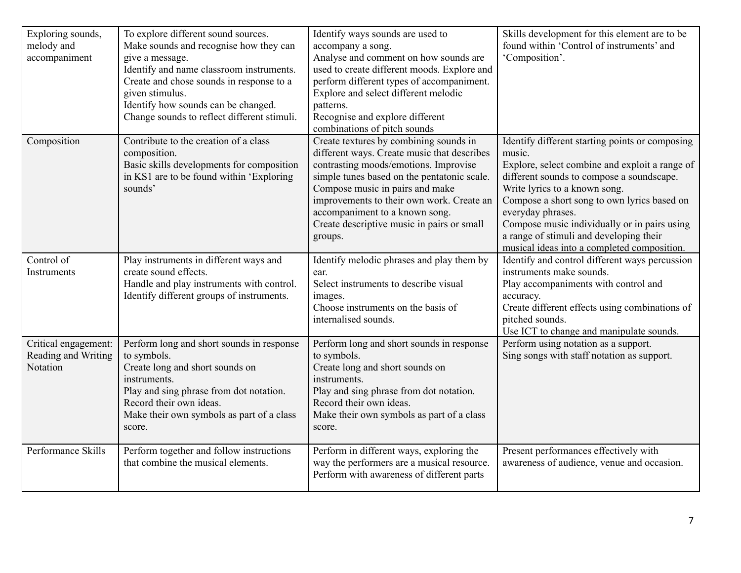| Exploring sounds,<br>melody and<br>accompaniment        | To explore different sound sources.<br>Make sounds and recognise how they can<br>give a message.<br>Identify and name classroom instruments.<br>Create and chose sounds in response to a<br>given stimulus.<br>Identify how sounds can be changed.<br>Change sounds to reflect different stimuli. | Identify ways sounds are used to<br>accompany a song.<br>Analyse and comment on how sounds are<br>used to create different moods. Explore and<br>perform different types of accompaniment.<br>Explore and select different melodic<br>patterns.<br>Recognise and explore different<br>combinations of pitch sounds                                       | Skills development for this element are to be<br>found within 'Control of instruments' and<br>'Composition'.                                                                                                                                                                                                                                                                                            |
|---------------------------------------------------------|---------------------------------------------------------------------------------------------------------------------------------------------------------------------------------------------------------------------------------------------------------------------------------------------------|----------------------------------------------------------------------------------------------------------------------------------------------------------------------------------------------------------------------------------------------------------------------------------------------------------------------------------------------------------|---------------------------------------------------------------------------------------------------------------------------------------------------------------------------------------------------------------------------------------------------------------------------------------------------------------------------------------------------------------------------------------------------------|
| Composition                                             | Contribute to the creation of a class<br>composition.<br>Basic skills developments for composition<br>in KS1 are to be found within 'Exploring<br>sounds'                                                                                                                                         | Create textures by combining sounds in<br>different ways. Create music that describes<br>contrasting moods/emotions. Improvise<br>simple tunes based on the pentatonic scale.<br>Compose music in pairs and make<br>improvements to their own work. Create an<br>accompaniment to a known song.<br>Create descriptive music in pairs or small<br>groups. | Identify different starting points or composing<br>music.<br>Explore, select combine and exploit a range of<br>different sounds to compose a soundscape.<br>Write lyrics to a known song.<br>Compose a short song to own lyrics based on<br>everyday phrases.<br>Compose music individually or in pairs using<br>a range of stimuli and developing their<br>musical ideas into a completed composition. |
| Control of<br>Instruments                               | Play instruments in different ways and<br>create sound effects.<br>Handle and play instruments with control.<br>Identify different groups of instruments.                                                                                                                                         | Identify melodic phrases and play them by<br>ear.<br>Select instruments to describe visual<br>images.<br>Choose instruments on the basis of<br>internalised sounds.                                                                                                                                                                                      | Identify and control different ways percussion<br>instruments make sounds.<br>Play accompaniments with control and<br>accuracy.<br>Create different effects using combinations of<br>pitched sounds.<br>Use ICT to change and manipulate sounds.                                                                                                                                                        |
| Critical engagement:<br>Reading and Writing<br>Notation | Perform long and short sounds in response<br>to symbols.<br>Create long and short sounds on<br>instruments.<br>Play and sing phrase from dot notation.<br>Record their own ideas.<br>Make their own symbols as part of a class<br>score.                                                          | Perform long and short sounds in response<br>to symbols.<br>Create long and short sounds on<br>instruments.<br>Play and sing phrase from dot notation.<br>Record their own ideas.<br>Make their own symbols as part of a class<br>score.                                                                                                                 | Perform using notation as a support.<br>Sing songs with staff notation as support.                                                                                                                                                                                                                                                                                                                      |
| Performance Skills                                      | Perform together and follow instructions<br>that combine the musical elements.                                                                                                                                                                                                                    | Perform in different ways, exploring the<br>way the performers are a musical resource.<br>Perform with awareness of different parts                                                                                                                                                                                                                      | Present performances effectively with<br>awareness of audience, venue and occasion.                                                                                                                                                                                                                                                                                                                     |